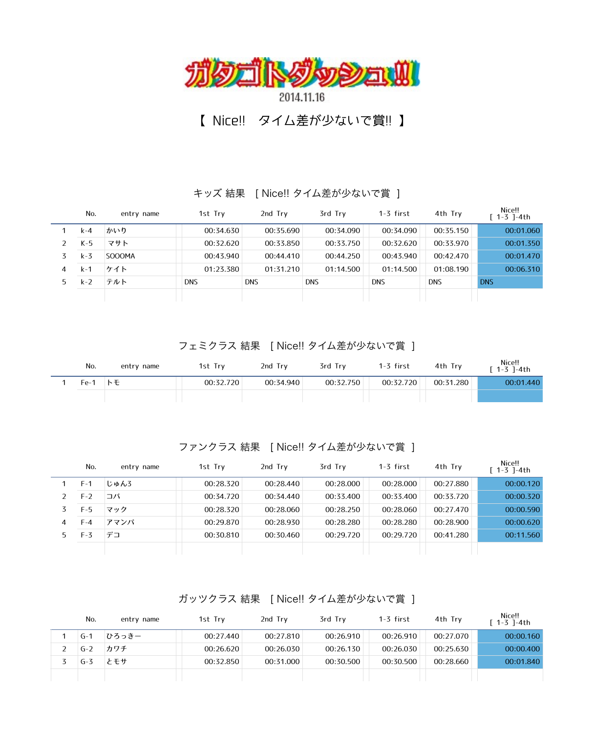

## 【 Nice!! タイム差が少ないで賞!! 】

キッズ 結果 [ Nice!! タイム差が少ないで賞 ]

|   | No.     | entry name | 1st Try    | 2nd Try    | 3rd Try    | $1-3$ first | 4th Try    | Nice!!<br>$[1 - 3]$ -4th |
|---|---------|------------|------------|------------|------------|-------------|------------|--------------------------|
|   | k-4     | かいり        | 00:34.630  | 00:35.690  | 00:34.090  | 00:34.090   | 00:35.150  | 00:01.060                |
|   | $K-5$   | マサト        | 00:32.620  | 00:33.850  | 00:33.750  | 00:32.620   | 00:33.970  | 00:01.350                |
|   | $k - 3$ | SOOOMA     | 00:43.940  | 00:44.410  | 00:44.250  | 00:43.940   | 00:42.470  | 00:01.470                |
| 4 | $k-1$   | ケイト        | 01:23.380  | 01:31.210  | 01:14.500  | 01:14.500   | 01:08.190  | 00:06.310                |
|   | $k-2$   | テルト        | <b>DNS</b> | <b>DNS</b> | <b>DNS</b> | <b>DNS</b>  | <b>DNS</b> | <b>DNS</b>               |
|   |         |            |            |            |            |             |            |                          |

フェミクラス 結果 [ Nice!! タイム差が少ないで賞 ]

| No.  | entry name | 1st Try   | 2nd Try   | 3rd Try   | 1-3 first | 4th Try   | Nice!!<br>$[1 - 3] - 4th$ |
|------|------------|-----------|-----------|-----------|-----------|-----------|---------------------------|
| Fe-1 | トモ         | 00:32.720 | 00:34.940 | 00:32.750 | 00:32.720 | 00:31.280 | 00:01.440                 |
|      |            |           |           |           |           |           |                           |

ファンクラス 結果 [ Nice!! タイム差が少ないで賞 ]

|    | No.   | entry name | 1st Try   | 2nd Try   | 3rd Try   | $1-3$ first | 4th Try   | Nice!!<br>$[1-3]$ -4th |
|----|-------|------------|-----------|-----------|-----------|-------------|-----------|------------------------|
|    | $F-1$ | じゅんろ       | 00:28.320 | 00:28.440 | 00:28.000 | 00:28.000   | 00:27.880 | 00:00.120              |
|    | $F-2$ | コバ         | 00:34.720 | 00:34.440 | 00:33.400 | 00:33.400   | 00:33.720 | 00:00.320              |
|    | $F-5$ | マック        | 00:28.320 | 00:28.060 | 00:28.250 | 00:28.060   | 00:27.470 | 00:00.590              |
| 4  | F-4   | アマンパ       | 00:29.870 | 00:28.930 | 00:28.280 | 00:28.280   | 00:28.900 | 00:00.620              |
| 5. | $F-3$ | デコ         | 00:30.810 | 00:30.460 | 00:29.720 | 00:29.720   | 00:41.280 | 00:11.560              |
|    |       |            |           |           |           |             |           |                        |

ガッツクラス 結果 [ Nice!! タイム差が少ないで賞 ]

| No.   | entry name | 1st Try   | 2nd Try   | 3rd Try   | 1-3 first | 4th Try   | Nice!!<br>$[1 - 3]$ -4th |
|-------|------------|-----------|-----------|-----------|-----------|-----------|--------------------------|
| $G-1$ | ひろっきー      | 00:27.440 | 00:27.810 | 00:26.910 | 00:26.910 | 00:27.070 | 00:00.160                |
| $G-2$ | カワチ        | 00:26.620 | 00:26.030 | 00:26.130 | 00:26.030 | 00:25.630 | 00:00.400                |
| $G-3$ | とモサ        | 00:32.850 | 00:31.000 | 00:30.500 | 00:30.500 | 00:28.660 | 00:01.840                |
|       |            |           |           |           |           |           |                          |